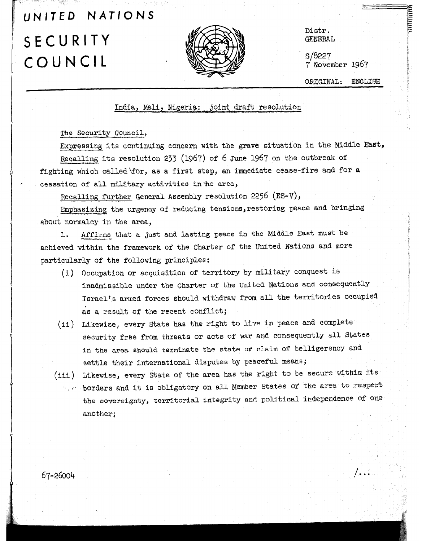## UNITED NATIONS  $SECURITY$   $M/XR$ COUNCIL



Distr.

s/8227  $7$  November 1967

ORIGINAL: ENGLISH

7. . .

## India, Mali, Nigeria: .joint draft resolution

The Security Council,

Expressing its continuing concern with the grave situation in the Middle East, Recalling its resolution 233 (1967) of 6 June 1967 on the outbreak of fighting which called\for, as a first step, an immediate cease-fire and for a cessation of a11 military activities inthe area,

Recalling further General Assembly resolution 2256 (ES-V),

Emphasizing the urgency of reducing tensions,restoring peace and bringing about normalcy in the area,

1. Affirms that a just and lasting peace in the Middle East must be achieved wtthin the framework of the Charter of the United Nations and mOre particularly of the following principles:

- $(i)$  Occupation or acquisition of territory by military conquest is inadmissible under the Charter of the United Nations and consequently Israel's armed forces should withdraw from all the territories occupied as a result of the recent conflict;
- (ii) Likewise, every State has the right to live in peace and complete security free from threats or acts of war and consequently all States in the area should terminate the state or claim of belligerency and settle their international disputes by peaceful means; ii) Likewise, every State of the area has the area has the area has the right to be seen the right to be seen the right to be seen the secure with the secure with the right to be seen the right to be seen the secure with t
- . I .browth and it is obligated the area, the area, the area, to respect the area, to respect the area, to respect  $t_{\text{eff}}$  borders and it is obligatory on all Member States of the area to respect the sovereignty, territorial integrity and political independence of one another;